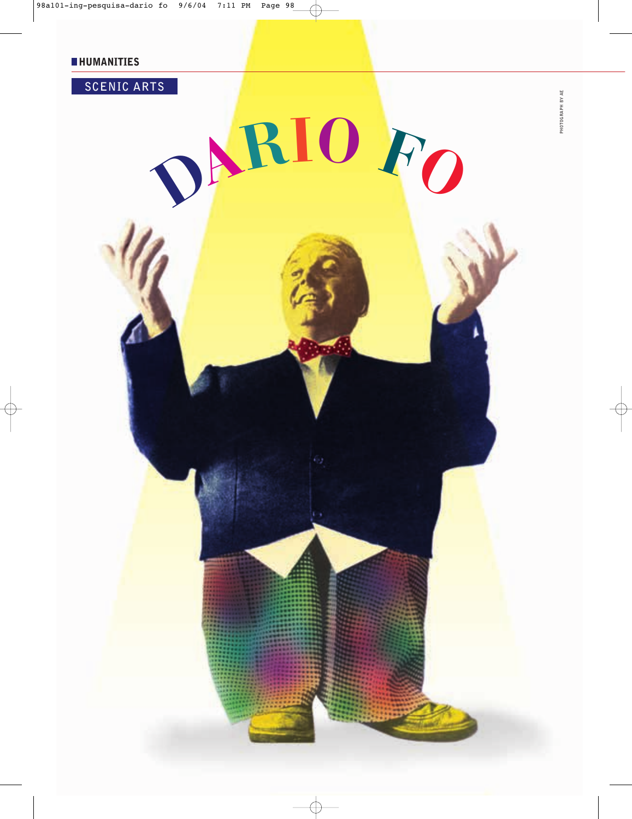

**PHOTOGRAPH BY AE**

PHOTOGRAPH BY AE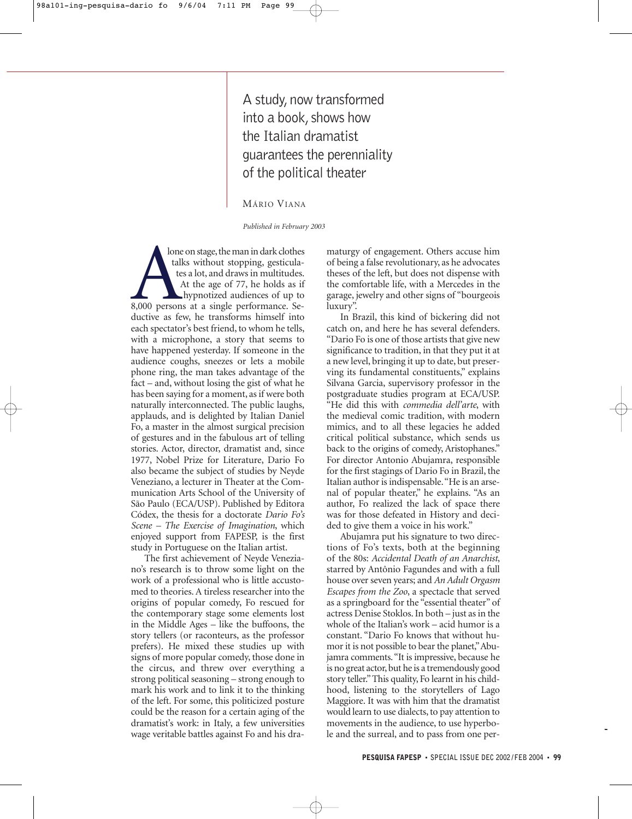A study, now transformed into a book, shows how the Italian dramatist guarantees the perenniality of the political theater

MÁRIO VIANA

*Published in February 2003*

lone on stage, the man in dark clothes talks without stopping, gesticulates a lot, and draws in multitudes. At the age of 77, he holds as if hypnotized audiences of up to lone on stage, the man in dark clothes<br>talks without stopping, gesticula-<br>tes a lot, and draws in multitudes.<br>At the age of 77, he holds as if<br>hypnotized audiences of up to<br>8,000 persons at a single performance. Se-<br>ductiv ductive as few, he transforms himself into each spectator's best friend, to whom he tells, with a microphone, a story that seems to have happened yesterday. If someone in the audience coughs, sneezes or lets a mobile phone ring, the man takes advantage of the fact – and, without losing the gist of what he has been saying for a moment, as if were both naturally interconnected. The public laughs, applauds, and is delighted by Italian Daniel Fo, a master in the almost surgical precision of gestures and in the fabulous art of telling stories. Actor, director, dramatist and, since 1977, Nobel Prize for Literature, Dario Fo also became the subject of studies by Neyde Veneziano, a lecturer in Theater at the Communication Arts School of the University of São Paulo (ECA/USP). Published by Editora Códex, the thesis for a doctorate *Dario Fo's Scene – The Exercise of Imagination*, which enjoyed support from FAPESP, is the first study in Portuguese on the Italian artist.

The first achievement of Neyde Veneziano's research is to throw some light on the work of a professional who is little accustomed to theories. A tireless researcher into the origins of popular comedy, Fo rescued for the contemporary stage some elements lost in the Middle Ages – like the buffoons, the story tellers (or raconteurs, as the professor prefers). He mixed these studies up with signs of more popular comedy, those done in the circus, and threw over everything a strong political seasoning – strong enough to mark his work and to link it to the thinking of the left. For some, this politicized posture could be the reason for a certain aging of the dramatist's work: in Italy, a few universities wage veritable battles against Fo and his dramaturgy of engagement. Others accuse him of being a false revolutionary, as he advocates theses of the left, but does not dispense with the comfortable life, with a Mercedes in the garage, jewelry and other signs of "bourgeois luxury".

In Brazil, this kind of bickering did not catch on, and here he has several defenders. "Dario Fo is one of those artists that give new significance to tradition, in that they put it at a new level, bringing it up to date, but preserving its fundamental constituents," explains Silvana Garcia, supervisory professor in the postgraduate studies program at ECA/USP. "He did this with *commedia dell'arte*, with the medieval comic tradition, with modern mimics, and to all these legacies he added critical political substance, which sends us back to the origins of comedy, Aristophanes." For director Antonio Abujamra, responsible for the first stagings of Dario Fo in Brazil, the Italian author is indispensable."He is an arsenal of popular theater," he explains. "As an author, Fo realized the lack of space there was for those defeated in History and decided to give them a voice in his work."

Abujamra put his signature to two directions of Fo's texts, both at the beginning of the 80s: *Accidental Death of an Anarchist*, starred by Antônio Fagundes and with a full house over seven years; and *An Adult Orgasm Escapes from the Zoo*, a spectacle that served as a springboard for the "essential theater" of actress Denise Stoklos. In both – just as in the whole of the Italian's work – acid humor is a constant. "Dario Fo knows that without humor it is not possible to bear the planet,"Abujamra comments. "It is impressive, because he is no great actor, but he is a tremendously good story teller."This quality, Fo learnt in his childhood, listening to the storytellers of Lago Maggiore. It was with him that the dramatist would learn to use dialects, to pay attention to movements in the audience, to use hyperbole and the surreal, and to pass from one per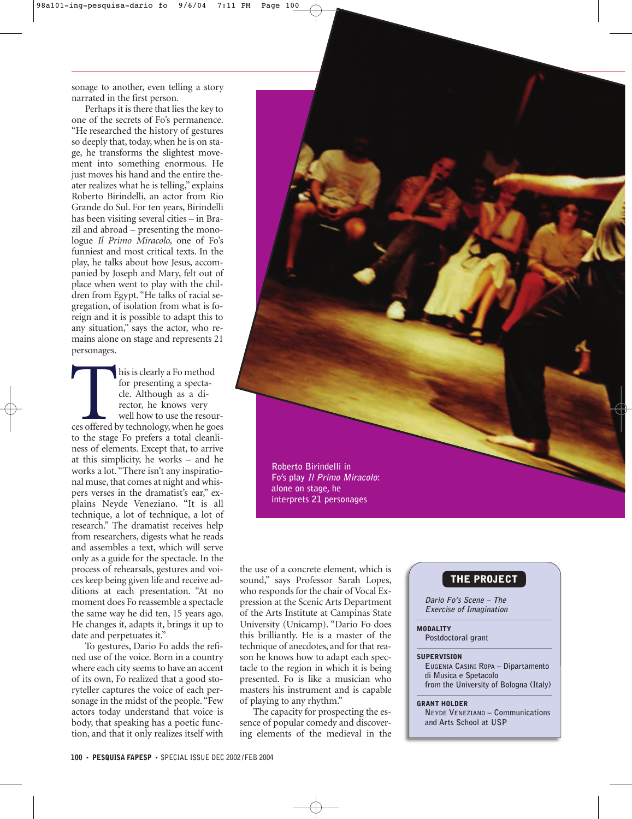sonage to another, even telling a story narrated in the first person.

Perhaps it is there that lies the key to one of the secrets of Fo's permanence. "He researched the history of gestures so deeply that, today, when he is on stage, he transforms the slightest movement into something enormous. He just moves his hand and the entire theater realizes what he is telling," explains Roberto Birindelli, an actor from Rio Grande do Sul. For ten years, Birindelli has been visiting several cities – in Brazil and abroad – presenting the monologue *Il Primo Miracolo*, one of Fo's funniest and most critical texts. In the play, he talks about how Jesus, accompanied by Joseph and Mary, felt out of place when went to play with the children from Egypt. "He talks of racial segregation, of isolation from what is foreign and it is possible to adapt this to any situation," says the actor, who remains alone on stage and represents 21 personages.

his is clearly a Fo method for presenting a spectacle. Although as a director, he knows very well how to use the resourhis is clearly a Fo method<br>for presenting a specta-<br>cle. Although as a di-<br>rector, he knows very<br>well how to use the resour-<br>ces offered by technology, when he goes<br>to the stage Fo prefere a total cleanly to the stage Fo prefers a total cleanliness of elements. Except that, to arrive at this simplicity, he works – and he works a lot. "There isn't any inspirational muse, that comes at night and whispers verses in the dramatist's ear," explains Neyde Veneziano. "It is all technique, a lot of technique, a lot of research." The dramatist receives help from researchers, digests what he reads and assembles a text, which will serve only as a guide for the spectacle. In the process of rehearsals, gestures and voices keep being given life and receive additions at each presentation. "At no moment does Fo reassemble a spectacle the same way he did ten, 15 years ago. He changes it, adapts it, brings it up to date and perpetuates it."

To gestures, Dario Fo adds the refined use of the voice. Born in a country where each city seems to have an accent of its own, Fo realized that a good storyteller captures the voice of each personage in the midst of the people. "Few actors today understand that voice is body, that speaking has a poetic function, and that it only realizes itself with

**Roberto Birindelli in Fo's play Il Primo Miracolo: alone on stage, he interprets 21 personages**

the use of a concrete element, which is sound," says Professor Sarah Lopes, who responds for the chair of Vocal Expression at the Scenic Arts Department of the Arts Institute at Campinas State University (Unicamp). "Dario Fo does this brilliantly. He is a master of the technique of anecdotes, and for that reason he knows how to adapt each spectacle to the region in which it is being presented. Fo is like a musician who masters his instrument and is capable of playing to any rhythm."

The capacity for prospecting the essence of popular comedy and discovering elements of the medieval in the

## THE PROJECT

**Dario Fo's Scene – The Exercise of Imagination**

MODALITY **Postdoctoral grant**

## **SUPERVISION**

**EUGENIA CASINI ROPA – Dipartamento di Musica e Spetacolo from the University of Bologna (Italy)**

## GRANT HOLDER

**NEYDE VENEZIANO – Communications and Arts School at USP**